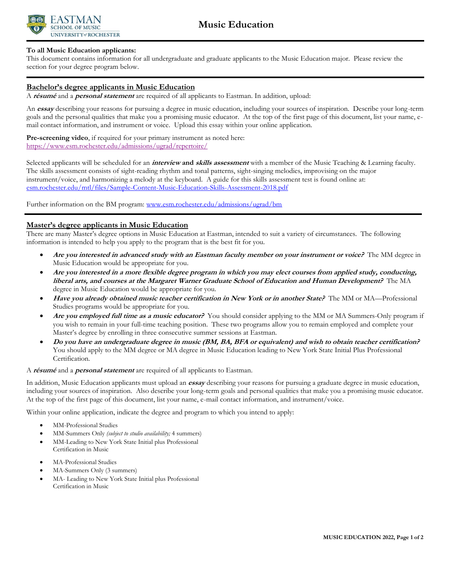

## **To all Music Education applicants:**

This document contains information for all undergraduate and graduate applicants to the Music Education major. Please review the section for your degree program below.

# **Bachelor's degree applicants in Music Education**

A **résumé** and a **personal statement** are required of all applicants to Eastman. In addition, upload:

An **essay** describing your reasons for pursuing a degree in music education, including your sources of inspiration. Describe your long-term goals and the personal qualities that make you a promising music educator. At the top of the first page of this document, list your name, email contact information, and instrument or voice. Upload this essay within your online application.

**Pre-screening video**, if required for your primary instrument as noted here: <https://www.esm.rochester.edu/admissions/ugrad/repertoire/>

Selected applicants will be scheduled for an **interview and skills assessment** with a member of the Music Teaching & Learning faculty. The skills assessment consists of sight-reading rhythm and tonal patterns, sight-singing melodies, improvising on the major instrument/voice, and harmonizing a melody at the keyboard. A guide for this skills assessment test is found online at: [esm.rochester.edu/mtl/files/Sample-Content-Music-Education-Skills-Assessment-2018.pdf](https://www.esm.rochester.edu/mtl/files/Sample-Content-Music-Education-Skills-Assessment-2018.pdf?file=Sample-Content-Music-Education-Skills-Assessment.pdf)

Further information on the BM program: [www.esm.rochester.edu/admissions/ugrad/bm](http://www.esm.rochester.edu/admissions/ugrad/bm/)

## **Master's degree applicants in Music Education**

There are many Master's degree options in Music Education at Eastman, intended to suit a variety of circumstances. The following information is intended to help you apply to the program that is the best fit for you.

- **Are you interested in advanced study with an Eastman faculty member on your instrument or voice?** The MM degree in Music Education would be appropriate for you.
- **Are you interested in a more flexible degree program in which you may elect courses from applied study, conducting, liberal arts, and courses at the Margaret Warner Graduate School of Education and Human Development?** The MA degree in Music Education would be appropriate for you.
- **Have you already obtained music teacher certification in New York or in another State?** The MM or MA—Professional Studies programs would be appropriate for you.
- **Are you employed full time as a music educator?** You should consider applying to the MM or MA Summers-Only program if you wish to remain in your full-time teaching position. These two programs allow you to remain employed and complete your Master's degree by enrolling in three consecutive summer sessions at Eastman.
- **Do you have an undergraduate degree in music (BM, BA, BFA or equivalent) and wish to obtain teacher certification?** You should apply to the MM degree or MA degree in Music Education leading to New York State Initial Plus Professional Certification.

#### A **résumé** and a **personal statement** are required of all applicants to Eastman.

In addition, Music Education applicants must upload an **essay** describing your reasons for pursuing a graduate degree in music education, including your sources of inspiration. Also describe your long-term goals and personal qualities that make you a promising music educator. At the top of the first page of this document, list your name, e-mail contact information, and instrument/voice.

Within your online application, indicate the degree and program to which you intend to apply:

- MM-Professional Studies
- MM-Summers Only *(subject to studio availability;* 4 summers)
- MM-Leading to New York State Initial plus Professional Certification in Music
- MA-Professional Studies
- MA-Summers Only (3 summers)
- MA- Leading to New York State Initial plus Professional Certification in Music